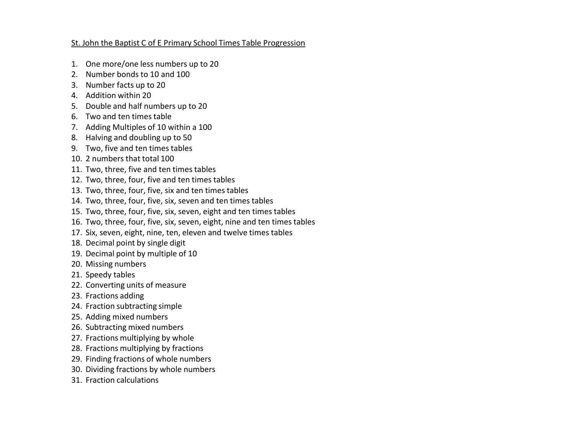#### St. John the Baptist C of E Primary School Times Table Progression

- 1. One more/one less numbers up to 20
- 2. Number bonds to 10 and 100
- 3. Number facts up to 20
- 4. Addition within 20
- 5. Double and half numbers up to 20
- 6. Two and ten times table
- 7. Adding Multiples of 10 within a 100
- 8. Halving and doubling up to 50
- 9. Two, five and ten times tables
- 10. 2 numbers that total 100
- 11. Two, three, five and ten times tables
- 12. Two, three, four, five and ten times tables
- 13. Two, three, four, five, six and ten times tables
- 14. Two, three, four, five, six, seven and ten times tables
- 15. Two, three, four, five, six, seven, eight and ten times tables
- 16. Two, three, four, five, six, seven, eight, nine and ten times tables
- 17. Six, seven, eight, nine, ten, eleven and twelve times tables
- 18. Decimal point by single digit
- 19. Decimal point by multiple of 10
- 20. Missing numbers
- 21. Speedy tables
- 22. Converting units of measure
- 23. Fractions adding
- 24. Fraction subtracting simple
- 25. Adding mixed numbers
- 26. Subtracting mixed numbers
- 27. Fractions multiplying by whole
- 28. Fractions multiplying by fractions
- 29. Finding fractions of whole numbers
- 30. Dividing fractions by whole numbers
- 31. Fraction calculations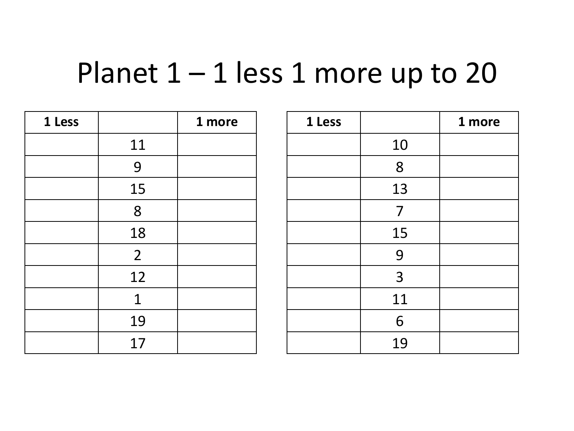#### Planet  $1 - 1$  less 1 more up to 20

| 1 Less |                | 1 more |  |
|--------|----------------|--------|--|
|        | 11             |        |  |
|        | 9              |        |  |
|        | 15             |        |  |
|        | 8              |        |  |
|        | 18             |        |  |
|        | $\overline{2}$ |        |  |
|        | 12             |        |  |
|        | $\mathbf{1}$   |        |  |
|        | 19             |        |  |
|        | 17             |        |  |

| 1 Less |    | 1 more |
|--------|----|--------|
|        | 10 |        |
|        | 8  |        |
|        | 13 |        |
|        | 7  |        |
|        | 15 |        |
|        | 9  |        |
|        | 3  |        |
|        | 11 |        |
|        | 6  |        |
|        | 19 |        |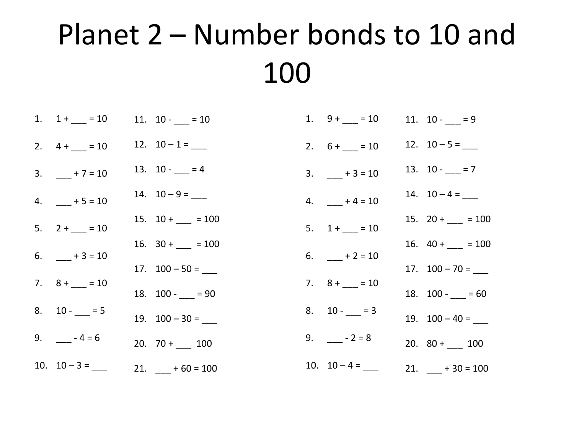# Planet 2 – Number bonds to 10 and 100

| 1. $1 + \underline{\hspace{1cm}} = 10$ | 11. $10 - 10 = 10$                        | 1. $9+ = 10$                           | 11. $10 - 9$                              |
|----------------------------------------|-------------------------------------------|----------------------------------------|-------------------------------------------|
| 2. $4 + 10$                            | 12. $10-1=-$                              | 2. $6 + \underline{\hspace{1cm}} = 10$ | 12. $10-5=$                               |
| 3. $+7=10$                             | 13. $10 - 7 = 4$                          | $3. + 3 = 10$                          | 13. $10 - 7 = 7$                          |
| $4. + 5 = 10$                          | 14. $10-9=$ ______                        | $4. + 4 = 10$                          | 14. $10-4=$                               |
| 5. $2 + \underline{\hspace{1cm}} = 10$ | 15. $10 + \_ = 100$                       | $5. 1 + 10$                            | 15. $20 + \_ = 100$                       |
|                                        | 16. $30 + \underline{\hspace{1cm}} = 100$ |                                        | 16. $40 + \underline{\hspace{1cm}} = 100$ |
| 6. $-+3=10$                            | 17. $100 - 50 =$ _____                    | 6. $+2=10$                             | 17. $100 - 70 =$ _____                    |
| 7. $8 + \underline{\hspace{1cm}} = 10$ | 18. $100 - 90$                            | 7. $8 + \_ = 10$                       | 18. $100 - 80 = 60$                       |
| 8. $10 - 5 = 5$                        | 19. $100 - 30 =$                          | 8. $10 - 3$                            | 19. $100 - 40 =$ ______                   |
| 9. $-4=6$                              | 20. $70 + 100$                            | 9. $-2=8$                              | 20. $80 +$ 100                            |
| 10. $10-3 =$                           | 21. $-+60=100$                            | 10. $10-4=-$                           | 21. $-+30=100$                            |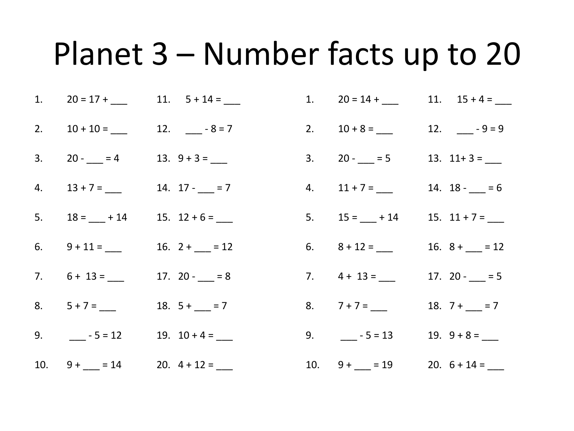# Planet 3 – Number facts up to 20

|  | 1. $20 = 17 + 11. 5 + 14 =$ |  |  |  | 1. $20 = 14 +$ 11. $15 + 4 =$ |  |  |
|--|-----------------------------|--|--|--|-------------------------------|--|--|
|--|-----------------------------|--|--|--|-------------------------------|--|--|

- 2.  $10 + 10 =$  \_\_\_\_ 12. \_\_\_\_-8=7 2.  $10 + 8 =$  12.  $-$  - 9 = 9
- $3. \qquad 20 13. \; 9 + 3 =$  $3. \qquad 20 - \underline{\hspace{1cm}} = 5 \qquad 13. \; 11 + 3 = \underline{\hspace{1cm}}$
- $4. \qquad 13 + 7 = \underline{\hspace{1cm}} 14. \quad 17 \underline{\hspace{1cm}} = 7$  $4. \qquad 11 + 7 = \underline{\hspace{1cm}} 14. \; 18 - \underline{\hspace{1cm}} = 6$
- 5.  $18 = \underline{\hspace{1cm}} + 14$   $15. 12 + 6 = \underline{\hspace{1cm}}$ 5.  $15 = 414$  15.  $11 + 7 = 12$
- 6.  $9 + 11 =$  16.  $2 +$   $12 = 12$ 6.  $8 + 12 =$  16.  $8 +$  12 = 12
	- $7. 6 + 13 =$  $17. 20 - = 8$
- 8. 5 + 7 = \_\_\_\_ 18. 5 + \_\_\_ = 7
- 9.  $\frac{1}{2}$  5 = 12  $\frac{19}{2}$  10 + 4 =  $\frac{1}{2}$
- 7.  $4 + 13 =$ 8. 7 + 7 = \_\_\_\_ 18. 7 + \_\_\_ = 7 9.  $-5 = 13$ 17.  $20 - 5$ 19.  $9 + 8 =$

10.  $9 + \underline{\hspace{1cm}} = 14$  20.  $4 + 12 = \underline{\hspace{1cm}}$ 10.  $9 + \underline{\hspace{1cm}} = 19$  20.  $6 + 14 = \underline{\hspace{1cm}}$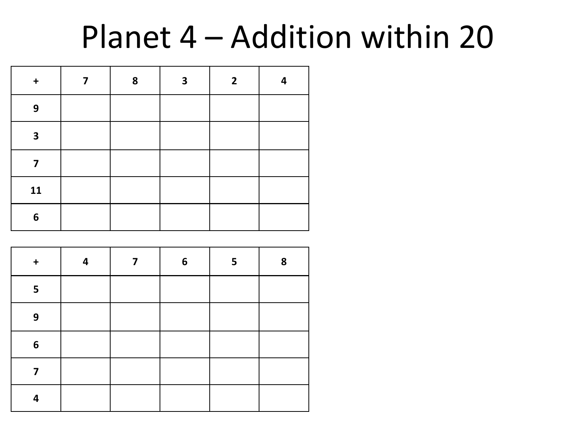# Planet 4 – Addition within 20

| $\begin{array}{c} + \end{array}$ | 7 | 8 | 3 | $\mathbf{2}$ | 4 |
|----------------------------------|---|---|---|--------------|---|
| 9                                |   |   |   |              |   |
| $\overline{\mathbf{3}}$          |   |   |   |              |   |
| 7                                |   |   |   |              |   |
| 11                               |   |   |   |              |   |
| 6                                |   |   |   |              |   |

| $\ddot{}$ | 4 | 7 | $6\phantom{1}$ | 5 | 8 |
|-----------|---|---|----------------|---|---|
| 5         |   |   |                |   |   |
| 9         |   |   |                |   |   |
| 6         |   |   |                |   |   |
| 7         |   |   |                |   |   |
| 4         |   |   |                |   |   |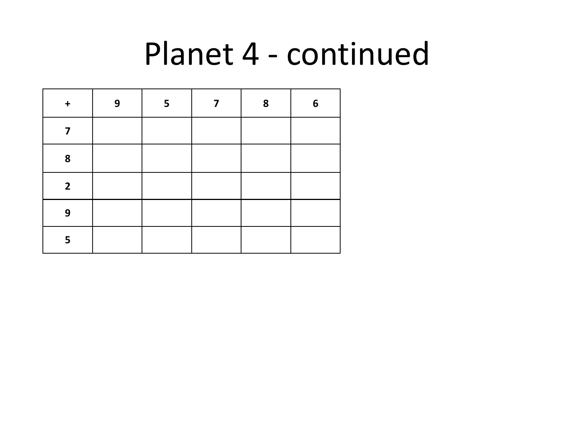# Planet 4 - continued

| $\div$         | 9 | 5 | 7 | 8 | 6 |
|----------------|---|---|---|---|---|
| 7              |   |   |   |   |   |
| 8              |   |   |   |   |   |
| $\overline{2}$ |   |   |   |   |   |
| 9              |   |   |   |   |   |
| 5              |   |   |   |   |   |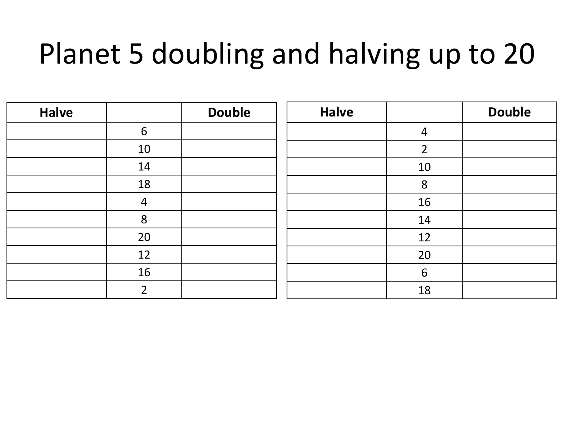# Planet 5 doubling and halving up to 20

| <b>Halve</b> |                | <b>Double</b> | <b>Halve</b> |                 | <b>Double</b> |
|--------------|----------------|---------------|--------------|-----------------|---------------|
|              | 6              |               |              | $\overline{4}$  |               |
|              | 10             |               |              | $\overline{2}$  |               |
|              | 14             |               |              | 10              |               |
|              | 18             |               |              | 8               |               |
|              | $\overline{4}$ |               |              | 16              |               |
|              | 8              |               |              | 14              |               |
|              | 20             |               |              | 12              |               |
|              | 12             |               |              | 20              |               |
|              | 16             |               |              | $6\phantom{1}6$ |               |
|              | $\overline{2}$ |               |              | 18              |               |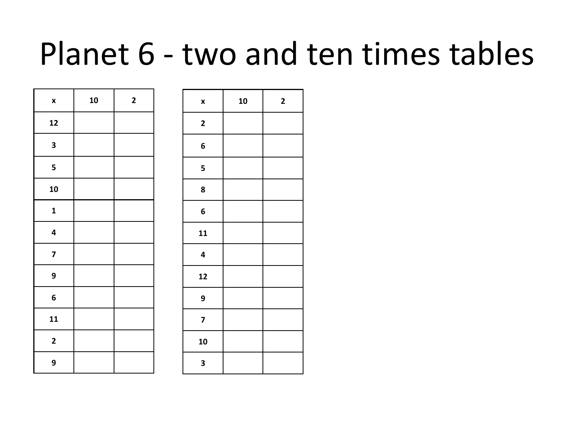# Planet 6 - two and ten times tables

| $\pmb{\mathsf{x}}$      | 10 | $\overline{\mathbf{c}}$ |
|-------------------------|----|-------------------------|
| 12                      |    |                         |
| 3                       |    |                         |
| 5                       |    |                         |
| 10                      |    |                         |
| $\mathbf{1}$            |    |                         |
| 4                       |    |                         |
| $\overline{\mathbf{z}}$ |    |                         |
| 9                       |    |                         |
| 6                       |    |                         |
| 11                      |    |                         |
| $\mathbf 2$             |    |                         |
| 9                       |    |                         |

| X                       | 10 | $\mathbf{2}$ |
|-------------------------|----|--------------|
| $\mathbf 2$             |    |              |
| 6                       |    |              |
| 5                       |    |              |
| 8                       |    |              |
| $\boldsymbol{6}$        |    |              |
| 11                      |    |              |
| $\overline{\mathbf{4}}$ |    |              |
| 12                      |    |              |
| 9                       |    |              |
| $\overline{\mathbf{z}}$ |    |              |
| 10                      |    |              |
| 3                       |    |              |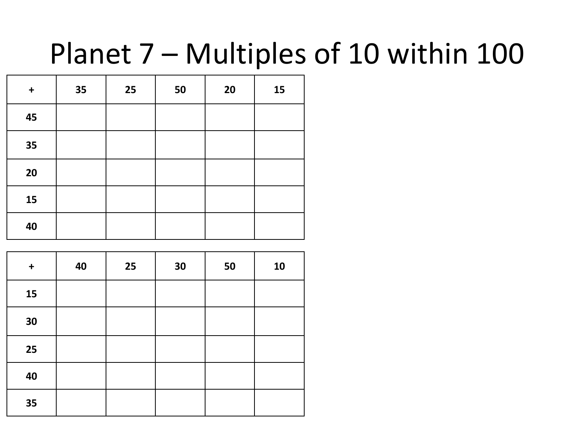# Planet 7 – Multiples of 10 within 100

| $\ddagger$ | 35 | 25 | 50 | 20 | 15 |
|------------|----|----|----|----|----|
| 45         |    |    |    |    |    |
| 35         |    |    |    |    |    |
| 20         |    |    |    |    |    |
| 15         |    |    |    |    |    |
| 40         |    |    |    |    |    |

| $\ddagger$ | 40 | 25 | 30 | 50 | 10 |
|------------|----|----|----|----|----|
| 15         |    |    |    |    |    |
| 30         |    |    |    |    |    |
| 25         |    |    |    |    |    |
| 40         |    |    |    |    |    |
| 35         |    |    |    |    |    |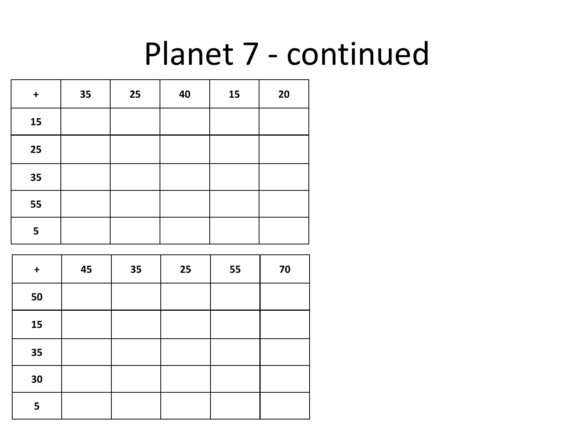# Planet 7 - continued

| $\ddagger$ | 35 | 25 | 40 | 15 | 20 |
|------------|----|----|----|----|----|
| 15         |    |    |    |    |    |
| 25         |    |    |    |    |    |
| 35         |    |    |    |    |    |
| 55         |    |    |    |    |    |
| 5          |    |    |    |    |    |

| $\boldsymbol{+}$ | 45 | 35 | 25 | 55 | 70 |
|------------------|----|----|----|----|----|
| 50               |    |    |    |    |    |
| 15               |    |    |    |    |    |
| 35               |    |    |    |    |    |
| 30               |    |    |    |    |    |
| 5                |    |    |    |    |    |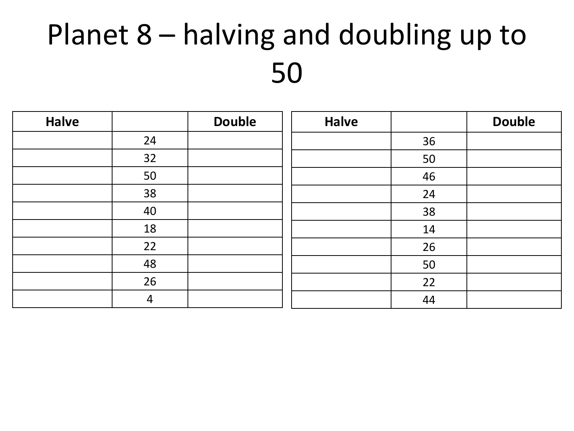# Planet 8 – halving and doubling up to

| <b>Halve</b> |                | <b>Double</b> | <b>Halve</b> |    | <b>Double</b> |
|--------------|----------------|---------------|--------------|----|---------------|
|              | 24             |               |              | 36 |               |
|              | 32             |               |              | 50 |               |
|              | 50             |               |              | 46 |               |
|              | 38             |               |              | 24 |               |
|              | 40             |               |              | 38 |               |
|              | 18             |               |              | 14 |               |
|              | 22             |               |              | 26 |               |
|              | 48             |               |              | 50 |               |
|              | 26             |               |              | 22 |               |
|              | $\overline{4}$ |               |              | 44 |               |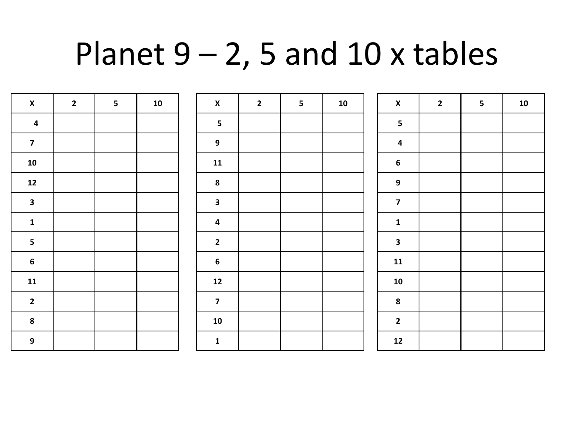# Planet  $9 - 2$ , 5 and 10 x tables

| $\pmb{\mathsf{X}}$      | $\overline{2}$ | $\overline{\mathbf{5}}$ | ${\bf 10}$ | $\pmb{\mathsf{X}}$      | $\overline{2}$ | $\overline{\mathbf{5}}$ | ${\bf 10}$ | $\pmb{\mathsf{X}}$      | $\overline{2}$ | 5 <sub>1</sub> | ${\bf 10}$ |
|-------------------------|----------------|-------------------------|------------|-------------------------|----------------|-------------------------|------------|-------------------------|----------------|----------------|------------|
| $\overline{\mathbf{4}}$ |                |                         |            | $\overline{\mathbf{5}}$ |                |                         |            | $\overline{\mathbf{5}}$ |                |                |            |
| $\overline{\mathbf{z}}$ |                |                         |            | $\mathbf{9}$            |                |                         |            | $\pmb{4}$               |                |                |            |
| 10                      |                |                         |            | ${\bf 11}$              |                |                         |            | $\boldsymbol{6}$        |                |                |            |
| ${\bf 12}$              |                |                         |            | $\boldsymbol{8}$        |                |                         |            | $\boldsymbol{9}$        |                |                |            |
| $\mathbf{3}$            |                |                         |            | $\mathbf{3}$            |                |                         |            | $\overline{\mathbf{z}}$ |                |                |            |
| $\mathbf{1}$            |                |                         |            | $\overline{\mathbf{4}}$ |                |                         |            | $\mathbf{1}$            |                |                |            |
| $5\phantom{a}$          |                |                         |            | $\overline{2}$          |                |                         |            | $\mathbf{3}$            |                |                |            |
| $6\phantom{.}6$         |                |                         |            | $\boldsymbol{6}$        |                |                         |            | ${\bf 11}$              |                |                |            |
| $11$                    |                |                         |            | $12$                    |                |                         |            | ${\bf 10}$              |                |                |            |
| $\overline{\mathbf{2}}$ |                |                         |            | $\overline{7}$          |                |                         |            | $\boldsymbol{8}$        |                |                |            |
| $\boldsymbol{8}$        |                |                         |            | ${\bf 10}$              |                |                         |            | $\overline{\mathbf{2}}$ |                |                |            |
| $\mathbf{9}$            |                |                         |            | $\mathbf{1}$            |                |                         |            | $12$                    |                |                |            |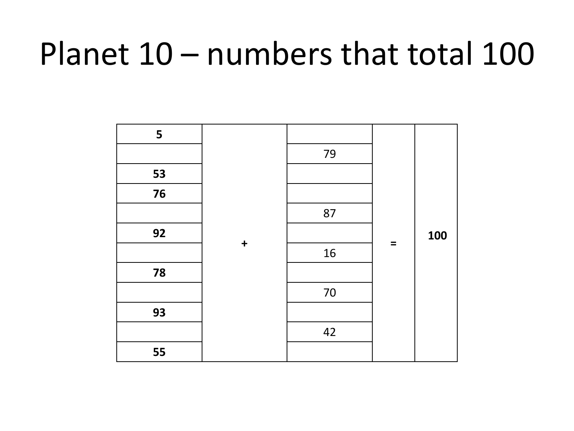# Planet 10 – numbers that total 100

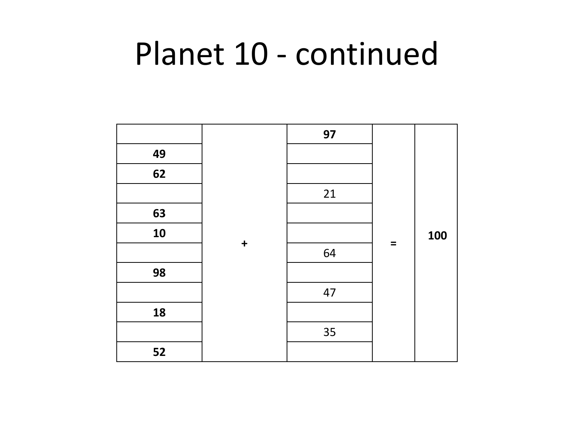# Planet 10 - continued

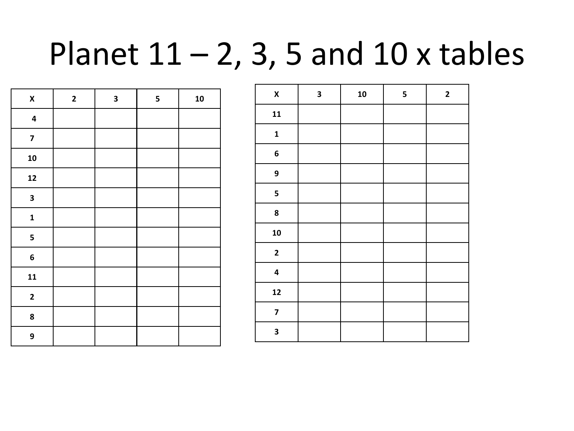# Planet  $11 - 2$ , 3, 5 and 10 x tables

| $\pmb{\mathsf{X}}$      | $\mathbf{2}$ | $\overline{\mathbf{3}}$ | 5 | 10 |
|-------------------------|--------------|-------------------------|---|----|
| $\overline{\mathbf{4}}$ |              |                         |   |    |
| $\overline{\mathbf{z}}$ |              |                         |   |    |
| ${\bf 10}$              |              |                         |   |    |
| 12                      |              |                         |   |    |
| 3                       |              |                         |   |    |
| $\mathbf{1}$            |              |                         |   |    |
| 5                       |              |                         |   |    |
| 6                       |              |                         |   |    |
| 11                      |              |                         |   |    |
| $\mathbf{2}$            |              |                         |   |    |
| 8                       |              |                         |   |    |
| 9                       |              |                         |   |    |

| $\pmb{\mathsf{X}}$      | $\overline{\mathbf{3}}$ | 10 | 5 | $\mathbf{2}$ |
|-------------------------|-------------------------|----|---|--------------|
| 11                      |                         |    |   |              |
| $\mathbf{1}$            |                         |    |   |              |
| $\bf 6$                 |                         |    |   |              |
| 9                       |                         |    |   |              |
| 5                       |                         |    |   |              |
| 8                       |                         |    |   |              |
| 10                      |                         |    |   |              |
| $\mathbf{2}$            |                         |    |   |              |
| $\overline{\mathbf{4}}$ |                         |    |   |              |
| 12                      |                         |    |   |              |
| $\overline{\mathbf{z}}$ |                         |    |   |              |
| 3                       |                         |    |   |              |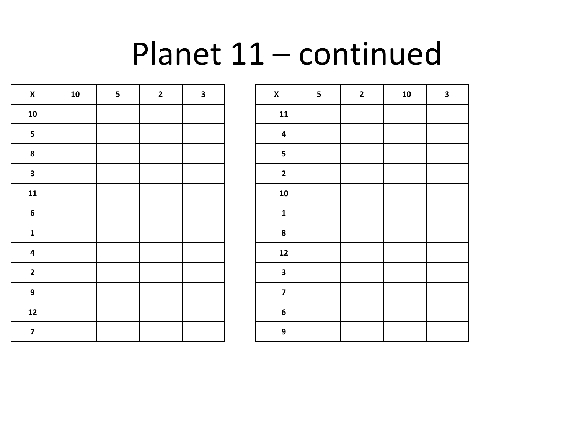# Planet 11 – continued

| $\boldsymbol{\mathsf{x}}$ | ${\bf 10}$ | 5 | $\overline{\mathbf{c}}$ | 3 |
|---------------------------|------------|---|-------------------------|---|
| 10                        |            |   |                         |   |
| 5                         |            |   |                         |   |
| 8                         |            |   |                         |   |
| $\overline{\mathbf{3}}$   |            |   |                         |   |
| 11                        |            |   |                         |   |
| 6                         |            |   |                         |   |
| $\mathbf{1}$              |            |   |                         |   |
| 4                         |            |   |                         |   |
| $\overline{\mathbf{c}}$   |            |   |                         |   |
| 9                         |            |   |                         |   |
| $\mathbf{12}$             |            |   |                         |   |
| $\overline{\mathbf{z}}$   |            |   |                         |   |

| $\mathsf{x}$            | 5 | $\mathbf{2}$ | 10 | $\mathbf 3$ |
|-------------------------|---|--------------|----|-------------|
| 11                      |   |              |    |             |
| 4                       |   |              |    |             |
| 5                       |   |              |    |             |
| $\mathbf{2}$            |   |              |    |             |
| 10                      |   |              |    |             |
| $\mathbf{1}$            |   |              |    |             |
| 8                       |   |              |    |             |
| 12                      |   |              |    |             |
| $\overline{\mathbf{3}}$ |   |              |    |             |
| $\overline{\mathbf{z}}$ |   |              |    |             |
| 6                       |   |              |    |             |
| 9                       |   |              |    |             |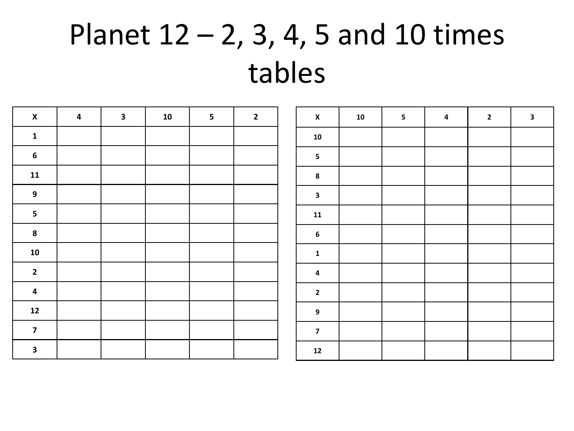# Planet  $12 - 2$ , 3, 4, 5 and 10 times tables

| $\pmb{\mathsf{X}}$      | $\overline{\mathbf{4}}$ | $\overline{\mathbf{3}}$ | 10 | $5\phantom{.0}$ | $\overline{2}$ | $\mathbf{x}$            | 10 | $5\phantom{a}$ | $\overline{\mathbf{4}}$ | $\overline{2}$ | $\mathbf{3}$ |
|-------------------------|-------------------------|-------------------------|----|-----------------|----------------|-------------------------|----|----------------|-------------------------|----------------|--------------|
| $\mathbf{1}$            |                         |                         |    |                 |                | 10                      |    |                |                         |                |              |
| $\boldsymbol{6}$        |                         |                         |    |                 |                | 5 <sub>5</sub>          |    |                |                         |                |              |
| 11                      |                         |                         |    |                 |                | $\pmb{8}$               |    |                |                         |                |              |
| 9                       |                         |                         |    |                 |                | $\mathbf{3}$            |    |                |                         |                |              |
| $5\phantom{a}$          |                         |                         |    |                 |                | ${\bf 11}$              |    |                |                         |                |              |
| $\boldsymbol{8}$        |                         |                         |    |                 |                | $6\phantom{a}$          |    |                |                         |                |              |
| ${\bf 10}$              |                         |                         |    |                 |                | $\mathbf{1}$            |    |                |                         |                |              |
| $\overline{2}$          |                         |                         |    |                 |                | $\overline{\mathbf{4}}$ |    |                |                         |                |              |
| $\overline{\mathbf{4}}$ |                         |                         |    |                 |                | $\mathbf{2}$            |    |                |                         |                |              |
| 12                      |                         |                         |    |                 |                | 9                       |    |                |                         |                |              |
| $\overline{7}$          |                         |                         |    |                 |                | $\overline{7}$          |    |                |                         |                |              |
| $\mathbf{3}$            |                         |                         |    |                 |                | $12$                    |    |                |                         |                |              |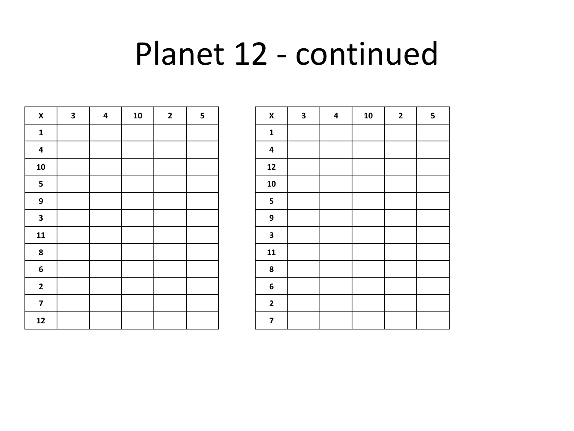## Planet 12 - continued

| $\pmb{\mathsf{X}}$      | $\overline{\mathbf{3}}$ | $\overline{\mathbf{4}}$ | 10 | $\mathbf{2}$ | $\overline{\mathbf{5}}$ |
|-------------------------|-------------------------|-------------------------|----|--------------|-------------------------|
| $\mathbf 1$             |                         |                         |    |              |                         |
| $\overline{\mathbf{4}}$ |                         |                         |    |              |                         |
| 10                      |                         |                         |    |              |                         |
| $\overline{\mathbf{5}}$ |                         |                         |    |              |                         |
| 9                       |                         |                         |    |              |                         |
| $\overline{\mathbf{3}}$ |                         |                         |    |              |                         |
| 11                      |                         |                         |    |              |                         |
| $\pmb{8}$               |                         |                         |    |              |                         |
| $\bf 6$                 |                         |                         |    |              |                         |
| $\mathbf 2$             |                         |                         |    |              |                         |
| $\overline{7}$          |                         |                         |    |              |                         |
| 12                      |                         |                         |    |              |                         |

| $\boldsymbol{\mathsf{x}}$ | $\overline{\mathbf{3}}$ | $\overline{\mathbf{4}}$ | 10 | $\mathbf{2}$ | 5 |
|---------------------------|-------------------------|-------------------------|----|--------------|---|
| $\mathbf{1}$              |                         |                         |    |              |   |
| $\overline{\mathbf{4}}$   |                         |                         |    |              |   |
| 12                        |                         |                         |    |              |   |
| 10                        |                         |                         |    |              |   |
| $\overline{\mathbf{5}}$   |                         |                         |    |              |   |
| 9                         |                         |                         |    |              |   |
| $\overline{\mathbf{3}}$   |                         |                         |    |              |   |
| 11                        |                         |                         |    |              |   |
| $\pmb{8}$                 |                         |                         |    |              |   |
| 6                         |                         |                         |    |              |   |
| $\mathbf{2}$              |                         |                         |    |              |   |
| $\boldsymbol{7}$          |                         |                         |    |              |   |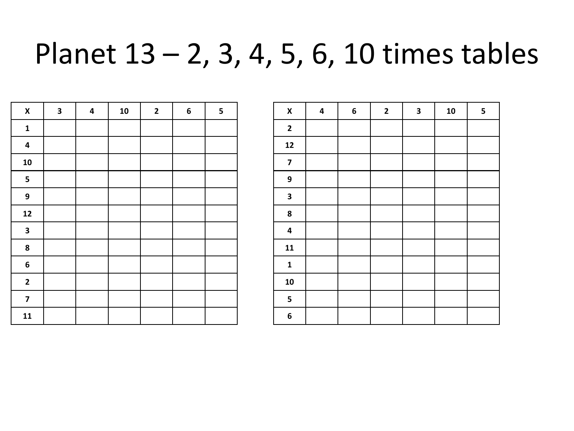### Planet 13 – 2, 3, 4, 5, 6, 10 times tables

| $\pmb{\mathsf{X}}$      | $\overline{\mathbf{3}}$ | $\pmb{4}$ | ${\bf 10}$ | $\mathbf{2}$ | 6 | 5 |
|-------------------------|-------------------------|-----------|------------|--------------|---|---|
| $\mathbf{1}$            |                         |           |            |              |   |   |
| $\pmb{4}$               |                         |           |            |              |   |   |
| ${\bf 10}$              |                         |           |            |              |   |   |
| $\overline{\mathbf{5}}$ |                         |           |            |              |   |   |
| 9                       |                         |           |            |              |   |   |
| $12$                    |                         |           |            |              |   |   |
| $\overline{\mathbf{3}}$ |                         |           |            |              |   |   |
| 8                       |                         |           |            |              |   |   |
| $\bf 6$                 |                         |           |            |              |   |   |
| $\mathbf{2}$            |                         |           |            |              |   |   |
| $\overline{\mathbf{z}}$ |                         |           |            |              |   |   |
| 11                      |                         |           |            |              |   |   |

| $\pmb{\mathsf{X}}$      | 4 | 6 | $\mathbf{2}$ | 3 | ${\bf 10}$ | 5 |
|-------------------------|---|---|--------------|---|------------|---|
| $\mathbf{2}$            |   |   |              |   |            |   |
| $12$                    |   |   |              |   |            |   |
| $\overline{\mathbf{z}}$ |   |   |              |   |            |   |
| 9                       |   |   |              |   |            |   |
| $\mathbf 3$             |   |   |              |   |            |   |
| 8                       |   |   |              |   |            |   |
| $\pmb{4}$               |   |   |              |   |            |   |
| 11                      |   |   |              |   |            |   |
| $\mathbf{1}$            |   |   |              |   |            |   |
| 10                      |   |   |              |   |            |   |
| 5                       |   |   |              |   |            |   |
| 6                       |   |   |              |   |            |   |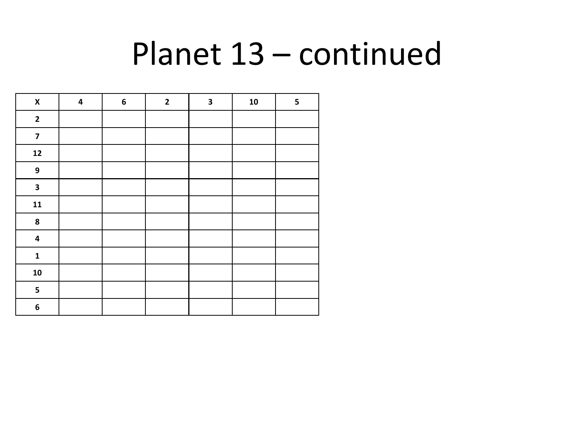# Planet 13 – continued

| $\pmb{\mathsf{X}}$      | $\overline{\mathbf{4}}$ | $\bf 6$ | $\mathbf{2}$ | 3 | ${\bf 10}$ | 5 |
|-------------------------|-------------------------|---------|--------------|---|------------|---|
| $\mathbf{2}$            |                         |         |              |   |            |   |
| $\overline{\mathbf{z}}$ |                         |         |              |   |            |   |
| $12$                    |                         |         |              |   |            |   |
| $\boldsymbol{9}$        |                         |         |              |   |            |   |
| $\mathbf{3}$            |                         |         |              |   |            |   |
| 11                      |                         |         |              |   |            |   |
| ${\bf 8}$               |                         |         |              |   |            |   |
| $\pmb{4}$               |                         |         |              |   |            |   |
| $\mathbf{1}$            |                         |         |              |   |            |   |
| ${\bf 10}$              |                         |         |              |   |            |   |
| $\overline{\mathbf{5}}$ |                         |         |              |   |            |   |
| $\bf 6$                 |                         |         |              |   |            |   |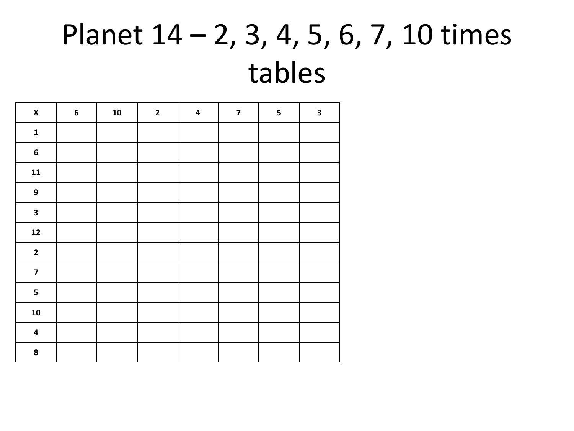# Planet 14 – 2, 3, 4, 5, 6, 7, 10 times tables

| $\pmb{\mathsf{X}}$      | $\boldsymbol{6}$ | ${\bf 10}$ | $\mathbf{2}$ | $\overline{\mathbf{4}}$ | $\overline{\mathbf{z}}$ | 5 | $\overline{\mathbf{3}}$ |
|-------------------------|------------------|------------|--------------|-------------------------|-------------------------|---|-------------------------|
| $\mathbf 1$             |                  |            |              |                         |                         |   |                         |
| $\bf 6$                 |                  |            |              |                         |                         |   |                         |
| ${\bf 11}$              |                  |            |              |                         |                         |   |                         |
| $\boldsymbol{9}$        |                  |            |              |                         |                         |   |                         |
| $\mathbf{3}$            |                  |            |              |                         |                         |   |                         |
| ${\bf 12}$              |                  |            |              |                         |                         |   |                         |
| $\mathbf{2}$            |                  |            |              |                         |                         |   |                         |
| $\overline{\mathbf{z}}$ |                  |            |              |                         |                         |   |                         |
| 5                       |                  |            |              |                         |                         |   |                         |
| ${\bf 10}$              |                  |            |              |                         |                         |   |                         |
| $\overline{\mathbf{4}}$ |                  |            |              |                         |                         |   |                         |
| 8                       |                  |            |              |                         |                         |   |                         |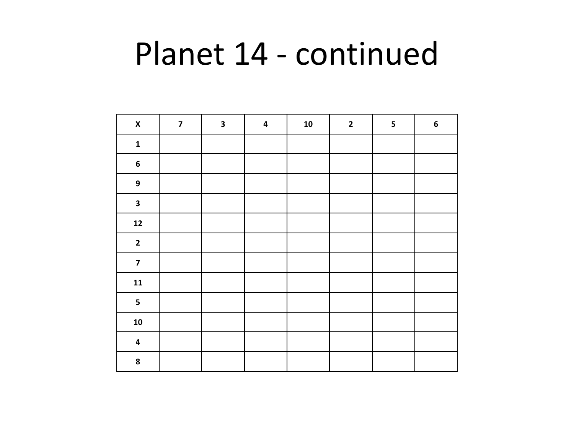# Planet 14 - continued

| $\pmb{\mathsf{X}}$      | $\overline{\mathbf{z}}$ | $\overline{\mathbf{3}}$ | $\overline{\mathbf{4}}$ | ${\bf 10}$ | $\mathbf{2}$ | 5 | $\boldsymbol{6}$ |
|-------------------------|-------------------------|-------------------------|-------------------------|------------|--------------|---|------------------|
| $\mathbf 1$             |                         |                         |                         |            |              |   |                  |
| $\boldsymbol{6}$        |                         |                         |                         |            |              |   |                  |
| $\mathbf 9$             |                         |                         |                         |            |              |   |                  |
| $\overline{\mathbf{3}}$ |                         |                         |                         |            |              |   |                  |
| $\mathbf{12}$           |                         |                         |                         |            |              |   |                  |
| $\mathbf{2}$            |                         |                         |                         |            |              |   |                  |
| $\overline{\mathbf{z}}$ |                         |                         |                         |            |              |   |                  |
| ${\bf 11}$              |                         |                         |                         |            |              |   |                  |
| 5                       |                         |                         |                         |            |              |   |                  |
| ${\bf 10}$              |                         |                         |                         |            |              |   |                  |
| $\overline{\mathbf{4}}$ |                         |                         |                         |            |              |   |                  |
| 8                       |                         |                         |                         |            |              |   |                  |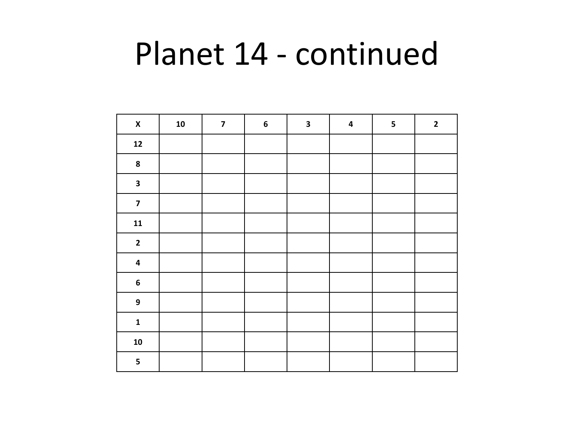# Planet 14 - continued

| $\pmb{\mathsf{X}}$      | ${\bf 10}$ | $\overline{\mathbf{z}}$ | $\bf 6$ | $\overline{\mathbf{3}}$ | $\pmb{4}$ | $\overline{\mathbf{5}}$ | $\mathbf{2}$ |
|-------------------------|------------|-------------------------|---------|-------------------------|-----------|-------------------------|--------------|
| $\mathbf{12}$           |            |                         |         |                         |           |                         |              |
| ${\bf 8}$               |            |                         |         |                         |           |                         |              |
| $\mathbf{3}$            |            |                         |         |                         |           |                         |              |
| $\overline{\mathbf{z}}$ |            |                         |         |                         |           |                         |              |
| ${\bf 11}$              |            |                         |         |                         |           |                         |              |
| $\mathbf{2}$            |            |                         |         |                         |           |                         |              |
| $\overline{\mathbf{4}}$ |            |                         |         |                         |           |                         |              |
| $\boldsymbol{6}$        |            |                         |         |                         |           |                         |              |
| $\mathbf{9}$            |            |                         |         |                         |           |                         |              |
| $\mathbf{1}$            |            |                         |         |                         |           |                         |              |
| ${\bf 10}$              |            |                         |         |                         |           |                         |              |
| 5                       |            |                         |         |                         |           |                         |              |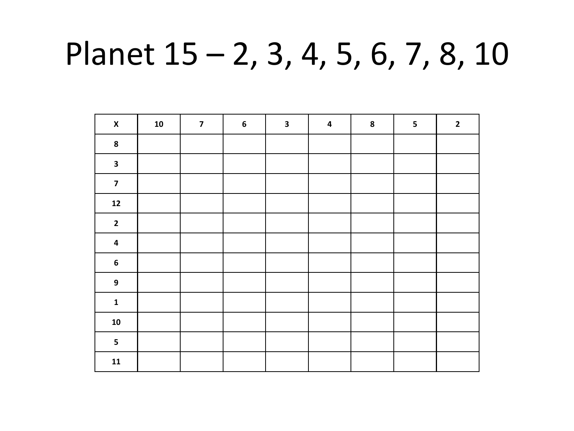# Planet 15 – 2, 3, 4, 5, 6, 7, 8, 10

| $\pmb{\mathsf{X}}$      | ${\bf 10}$ | $\overline{\mathbf{z}}$ | $\bf 6$ | $\mathbf{3}$ | $\overline{\mathbf{4}}$ | ${\bf 8}$ | 5 | $\mathbf{2}$ |
|-------------------------|------------|-------------------------|---------|--------------|-------------------------|-----------|---|--------------|
| $\bf{8}$                |            |                         |         |              |                         |           |   |              |
| $\mathbf{3}$            |            |                         |         |              |                         |           |   |              |
| $\overline{\mathbf{z}}$ |            |                         |         |              |                         |           |   |              |
| $12$                    |            |                         |         |              |                         |           |   |              |
| $\mathbf{2}$            |            |                         |         |              |                         |           |   |              |
| $\pmb{4}$               |            |                         |         |              |                         |           |   |              |
| $\boldsymbol{6}$        |            |                         |         |              |                         |           |   |              |
| $\overline{9}$          |            |                         |         |              |                         |           |   |              |
| $\mathbf{1}$            |            |                         |         |              |                         |           |   |              |
| ${\bf 10}$              |            |                         |         |              |                         |           |   |              |
| $\overline{\mathbf{5}}$ |            |                         |         |              |                         |           |   |              |
| $\mathbf{11}$           |            |                         |         |              |                         |           |   |              |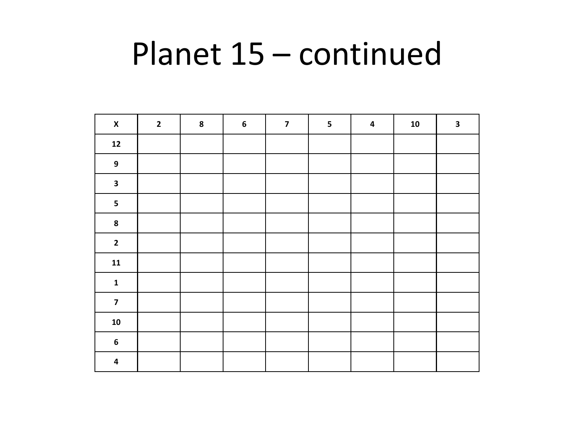# Planet 15 – continued

| $\pmb{\mathsf{X}}$      | $\overline{\mathbf{2}}$ | ${\bf 8}$ | $\bf 6$ | $\overline{\mathbf{z}}$ | 5 | $\pmb{4}$ | ${\bf 10}$ | $\overline{\mathbf{3}}$ |
|-------------------------|-------------------------|-----------|---------|-------------------------|---|-----------|------------|-------------------------|
| $\boldsymbol{12}$       |                         |           |         |                         |   |           |            |                         |
| $\overline{9}$          |                         |           |         |                         |   |           |            |                         |
| $\overline{\mathbf{3}}$ |                         |           |         |                         |   |           |            |                         |
| $\overline{\mathbf{5}}$ |                         |           |         |                         |   |           |            |                         |
| $\bf 8$                 |                         |           |         |                         |   |           |            |                         |
| $\mathbf{2}$            |                         |           |         |                         |   |           |            |                         |
| $\mathbf{11}$           |                         |           |         |                         |   |           |            |                         |
| $\mathbf{1}$            |                         |           |         |                         |   |           |            |                         |
| $\overline{\mathbf{z}}$ |                         |           |         |                         |   |           |            |                         |
| ${\bf 10}$              |                         |           |         |                         |   |           |            |                         |
| $\boldsymbol{6}$        |                         |           |         |                         |   |           |            |                         |
| $\overline{\mathbf{4}}$ |                         |           |         |                         |   |           |            |                         |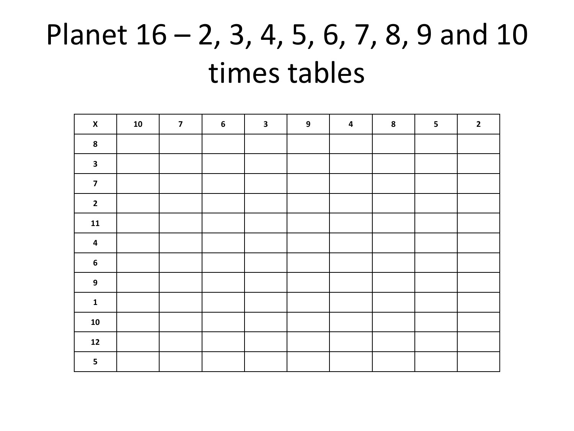# Planet 16 – 2, 3, 4, 5, 6, 7, 8, 9 and 10 times tables

| $\pmb{\mathsf{x}}$      | ${\bf 10}$ | $\overline{\mathbf{z}}$ | $\boldsymbol{6}$ | $\mathbf{3}$ | $\boldsymbol{9}$ | $\overline{\mathbf{4}}$ | ${\bf 8}$ | 5 | $\overline{\mathbf{2}}$ |
|-------------------------|------------|-------------------------|------------------|--------------|------------------|-------------------------|-----------|---|-------------------------|
| ${\bf 8}$               |            |                         |                  |              |                  |                         |           |   |                         |
| $\mathbf{3}$            |            |                         |                  |              |                  |                         |           |   |                         |
| $\overline{\mathbf{z}}$ |            |                         |                  |              |                  |                         |           |   |                         |
| $\mathbf{2}$            |            |                         |                  |              |                  |                         |           |   |                         |
| ${\bf 11}$              |            |                         |                  |              |                  |                         |           |   |                         |
| $\overline{\mathbf{4}}$ |            |                         |                  |              |                  |                         |           |   |                         |
| $\boldsymbol{6}$        |            |                         |                  |              |                  |                         |           |   |                         |
| $\boldsymbol{9}$        |            |                         |                  |              |                  |                         |           |   |                         |
| ${\bf 1}$               |            |                         |                  |              |                  |                         |           |   |                         |
| ${\bf 10}$              |            |                         |                  |              |                  |                         |           |   |                         |
| ${\bf 12}$              |            |                         |                  |              |                  |                         |           |   |                         |
| $\overline{\mathbf{5}}$ |            |                         |                  |              |                  |                         |           |   |                         |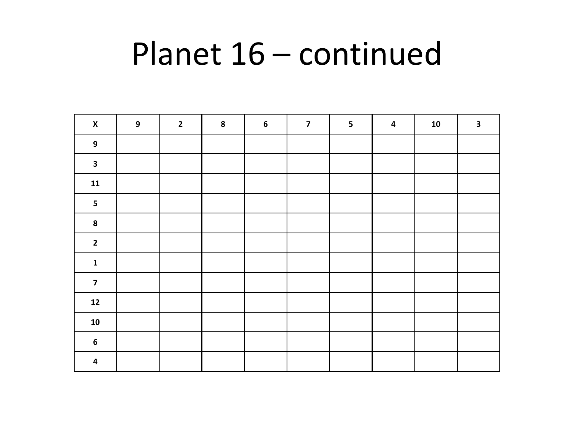# Planet 16 – continued

| $\pmb{\mathsf{X}}$      | $\boldsymbol{9}$ | $\mathbf{2}$ | ${\bf 8}$ | $\boldsymbol{6}$ | $\overline{\mathbf{z}}$ | $\overline{\mathbf{5}}$ | $\overline{\mathbf{4}}$ | ${\bf 10}$ | $\mathbf{3}$ |
|-------------------------|------------------|--------------|-----------|------------------|-------------------------|-------------------------|-------------------------|------------|--------------|
| $\overline{9}$          |                  |              |           |                  |                         |                         |                         |            |              |
| $\overline{\mathbf{3}}$ |                  |              |           |                  |                         |                         |                         |            |              |
| ${\bf 11}$              |                  |              |           |                  |                         |                         |                         |            |              |
| $\overline{\mathbf{5}}$ |                  |              |           |                  |                         |                         |                         |            |              |
| $\bf{8}$                |                  |              |           |                  |                         |                         |                         |            |              |
| $\mathbf{2}$            |                  |              |           |                  |                         |                         |                         |            |              |
| $\mathbf 1$             |                  |              |           |                  |                         |                         |                         |            |              |
| $\overline{\mathbf{z}}$ |                  |              |           |                  |                         |                         |                         |            |              |
| ${\bf 12}$              |                  |              |           |                  |                         |                         |                         |            |              |
| ${\bf 10}$              |                  |              |           |                  |                         |                         |                         |            |              |
| $\boldsymbol{6}$        |                  |              |           |                  |                         |                         |                         |            |              |
| $\overline{\mathbf{4}}$ |                  |              |           |                  |                         |                         |                         |            |              |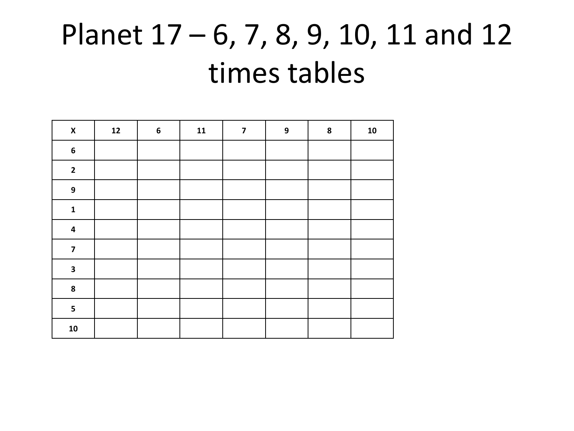# Planet 17 – 6, 7, 8, 9, 10, 11 and 12 times tables

| $\pmb{\mathsf{x}}$      | $12$ | $\boldsymbol{6}$ | ${\bf 11}$ | $\boldsymbol{7}$ | 9 | ${\bf 8}$ | ${\bf 10}$ |
|-------------------------|------|------------------|------------|------------------|---|-----------|------------|
| $\boldsymbol{6}$        |      |                  |            |                  |   |           |            |
| $\mathbf{2}$            |      |                  |            |                  |   |           |            |
| $\boldsymbol{9}$        |      |                  |            |                  |   |           |            |
| $\mathbf 1$             |      |                  |            |                  |   |           |            |
| $\overline{\mathbf{4}}$ |      |                  |            |                  |   |           |            |
| $\overline{\mathbf{z}}$ |      |                  |            |                  |   |           |            |
| $\mathbf{3}$            |      |                  |            |                  |   |           |            |
| ${\bf 8}$               |      |                  |            |                  |   |           |            |
| 5                       |      |                  |            |                  |   |           |            |
| ${\bf 10}$              |      |                  |            |                  |   |           |            |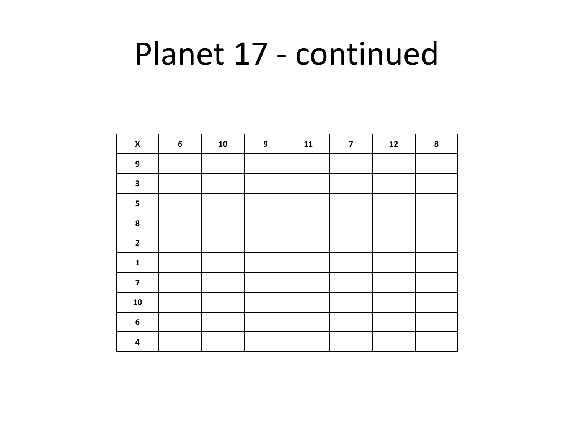# Planet 17 - continued

| $\pmb{\mathsf{X}}$      | $\boldsymbol{6}$ | ${\bf 10}$ | $\boldsymbol{9}$ | ${\bf 11}$ | $\overline{\mathbf{z}}$ | ${\bf 12}$ | 8 |
|-------------------------|------------------|------------|------------------|------------|-------------------------|------------|---|
| 9                       |                  |            |                  |            |                         |            |   |
| $\mathbf{3}$            |                  |            |                  |            |                         |            |   |
| $\overline{\mathbf{5}}$ |                  |            |                  |            |                         |            |   |
| 8                       |                  |            |                  |            |                         |            |   |
| $\mathbf{2}$            |                  |            |                  |            |                         |            |   |
| $\mathbf{1}$            |                  |            |                  |            |                         |            |   |
| $\overline{\mathbf{z}}$ |                  |            |                  |            |                         |            |   |
| ${\bf 10}$              |                  |            |                  |            |                         |            |   |
| $\bf 6$                 |                  |            |                  |            |                         |            |   |
| $\pmb{4}$               |                  |            |                  |            |                         |            |   |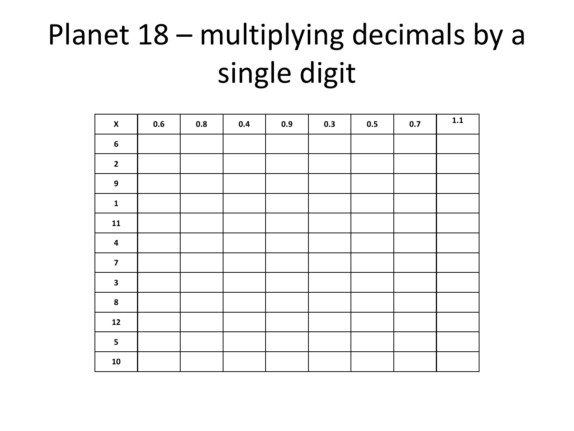# Planet 18 – multiplying decimals by a single digit

| $\pmb{\mathsf{X}}$      | 0.6 | 0.8 | $0.4\,$ | 0.9 | 0.3 | 0.5 | $0.7\,$ | $1.1\,$ |
|-------------------------|-----|-----|---------|-----|-----|-----|---------|---------|
| $\boldsymbol{6}$        |     |     |         |     |     |     |         |         |
| $\mathbf{2}$            |     |     |         |     |     |     |         |         |
| $\boldsymbol{9}$        |     |     |         |     |     |     |         |         |
| $\mathbf 1$             |     |     |         |     |     |     |         |         |
| ${\bf 11}$              |     |     |         |     |     |     |         |         |
| $\overline{\mathbf{4}}$ |     |     |         |     |     |     |         |         |
| $\overline{\mathbf{z}}$ |     |     |         |     |     |     |         |         |
| $\overline{\mathbf{3}}$ |     |     |         |     |     |     |         |         |
| $\bf 8$                 |     |     |         |     |     |     |         |         |
| $12$                    |     |     |         |     |     |     |         |         |
| 5                       |     |     |         |     |     |     |         |         |
| ${\bf 10}$              |     |     |         |     |     |     |         |         |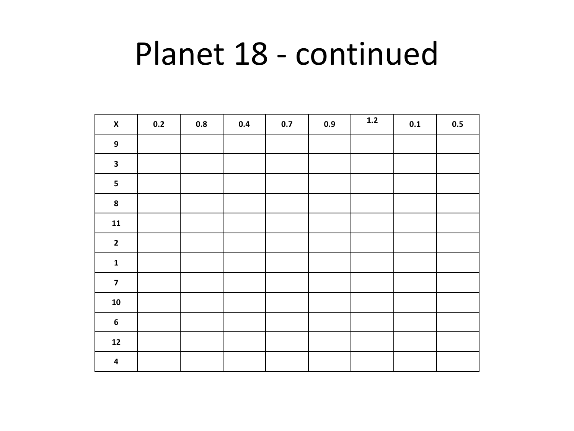# Planet 18 - continued

| $\pmb{\mathsf{X}}$      | 0.2 | 0.8 | 0.4 | 0.7 | 0.9 | $1.2$ | $0.1\,$ | 0.5 |
|-------------------------|-----|-----|-----|-----|-----|-------|---------|-----|
| $\overline{9}$          |     |     |     |     |     |       |         |     |
| $\mathbf{3}$            |     |     |     |     |     |       |         |     |
| $\overline{\mathbf{5}}$ |     |     |     |     |     |       |         |     |
| ${\bf 8}$               |     |     |     |     |     |       |         |     |
| $\mathbf{11}$           |     |     |     |     |     |       |         |     |
| $\mathbf{2}$            |     |     |     |     |     |       |         |     |
| $\mathbf{1}$            |     |     |     |     |     |       |         |     |
| $\overline{\mathbf{z}}$ |     |     |     |     |     |       |         |     |
| ${\bf 10}$              |     |     |     |     |     |       |         |     |
| $\boldsymbol{6}$        |     |     |     |     |     |       |         |     |
| $\mathbf{12}$           |     |     |     |     |     |       |         |     |
| $\overline{\mathbf{4}}$ |     |     |     |     |     |       |         |     |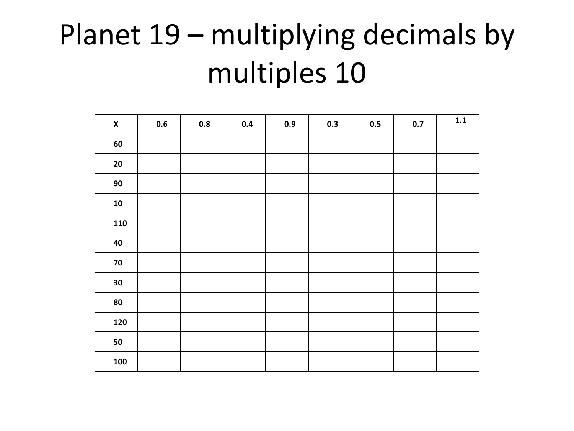# Planet 19 – multiplying decimals by multiples 10

| $\pmb{\mathsf{X}}$ | 0.6 | 0.8 | 0.4 | 0.9 | 0.3 | 0.5 | 0.7 | $\mathbf{1.1}$ |
|--------------------|-----|-----|-----|-----|-----|-----|-----|----------------|
| 60                 |     |     |     |     |     |     |     |                |
| ${\bf 20}$         |     |     |     |     |     |     |     |                |
| $90\,$             |     |     |     |     |     |     |     |                |
| ${\bf 10}$         |     |     |     |     |     |     |     |                |
| 110                |     |     |     |     |     |     |     |                |
| 40                 |     |     |     |     |     |     |     |                |
| $\bf 70$           |     |     |     |     |     |     |     |                |
| 30                 |     |     |     |     |     |     |     |                |
| 80                 |     |     |     |     |     |     |     |                |
| 120                |     |     |     |     |     |     |     |                |
| 50                 |     |     |     |     |     |     |     |                |
| 100                |     |     |     |     |     |     |     |                |